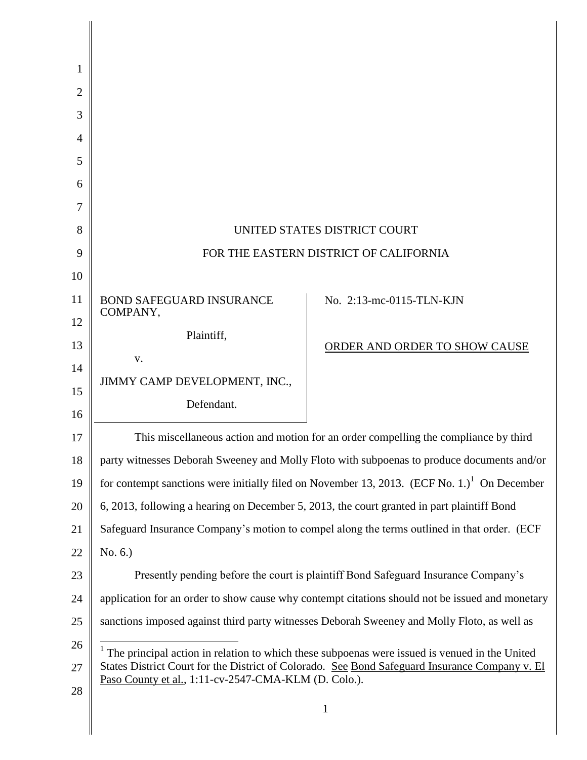| 1              |                                                                                                         |                                                                                                |  |
|----------------|---------------------------------------------------------------------------------------------------------|------------------------------------------------------------------------------------------------|--|
| $\overline{2}$ |                                                                                                         |                                                                                                |  |
| 3              |                                                                                                         |                                                                                                |  |
| 4              |                                                                                                         |                                                                                                |  |
| 5              |                                                                                                         |                                                                                                |  |
| 6              |                                                                                                         |                                                                                                |  |
| 7              |                                                                                                         |                                                                                                |  |
| 8              | UNITED STATES DISTRICT COURT                                                                            |                                                                                                |  |
| 9              | FOR THE EASTERN DISTRICT OF CALIFORNIA                                                                  |                                                                                                |  |
| 10             |                                                                                                         |                                                                                                |  |
| 11             | <b>BOND SAFEGUARD INSURANCE</b><br>COMPANY,                                                             | No. 2:13-mc-0115-TLN-KJN                                                                       |  |
| 12             | Plaintiff,                                                                                              |                                                                                                |  |
| 13             | V.                                                                                                      | ORDER AND ORDER TO SHOW CAUSE                                                                  |  |
| 14             | JIMMY CAMP DEVELOPMENT, INC.,                                                                           |                                                                                                |  |
| 15             | Defendant.                                                                                              |                                                                                                |  |
| 16             |                                                                                                         |                                                                                                |  |
| 17             | This miscellaneous action and motion for an order compelling the compliance by third                    |                                                                                                |  |
| 18             | party witnesses Deborah Sweeney and Molly Floto with subpoenas to produce documents and/or              |                                                                                                |  |
| 19             | for contempt sanctions were initially filed on November 13, 2013. (ECF No. 1.) <sup>1</sup> On December |                                                                                                |  |
| 20             | 6, 2013, following a hearing on December 5, 2013, the court granted in part plaintiff Bond              |                                                                                                |  |
| 21             |                                                                                                         | Safeguard Insurance Company's motion to compel along the terms outlined in that order. (ECF    |  |
| 22             | No. 6.)                                                                                                 |                                                                                                |  |
| 23             | Presently pending before the court is plaintiff Bond Safeguard Insurance Company's                      |                                                                                                |  |
| 24             | application for an order to show cause why contempt citations should not be issued and monetary         |                                                                                                |  |
| 25             | sanctions imposed against third party witnesses Deborah Sweeney and Molly Floto, as well as             |                                                                                                |  |
| 26             | $1$ The principal action in relation to which these subpoenas were issued is venued in the United       |                                                                                                |  |
| 27             | Paso County et al., 1:11-cv-2547-CMA-KLM (D. Colo.).                                                    | States District Court for the District of Colorado. See Bond Safeguard Insurance Company v. El |  |
| 28             |                                                                                                         | 1                                                                                              |  |
|                |                                                                                                         |                                                                                                |  |

║

║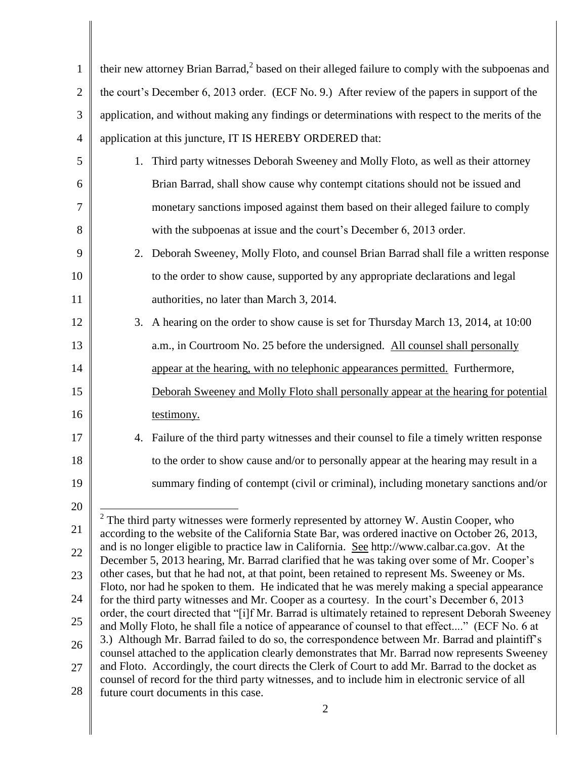| $\mathbf{1}$   | their new attorney Brian Barrad, <sup>2</sup> based on their alleged failure to comply with the subpoenas and                                                                                         |  |  |
|----------------|-------------------------------------------------------------------------------------------------------------------------------------------------------------------------------------------------------|--|--|
| $\overline{2}$ | the court's December 6, 2013 order. (ECF No. 9.) After review of the papers in support of the                                                                                                         |  |  |
| 3              | application, and without making any findings or determinations with respect to the merits of the                                                                                                      |  |  |
| $\overline{4}$ | application at this juncture, IT IS HEREBY ORDERED that:                                                                                                                                              |  |  |
| 5              | Third party witnesses Deborah Sweeney and Molly Floto, as well as their attorney<br>1.                                                                                                                |  |  |
| 6              | Brian Barrad, shall show cause why contempt citations should not be issued and                                                                                                                        |  |  |
| 7              | monetary sanctions imposed against them based on their alleged failure to comply                                                                                                                      |  |  |
| 8              | with the subpoenas at issue and the court's December 6, 2013 order.                                                                                                                                   |  |  |
| 9              | Deborah Sweeney, Molly Floto, and counsel Brian Barrad shall file a written response<br>2.                                                                                                            |  |  |
| 10             | to the order to show cause, supported by any appropriate declarations and legal                                                                                                                       |  |  |
| 11             | authorities, no later than March 3, 2014.                                                                                                                                                             |  |  |
| 12             | A hearing on the order to show cause is set for Thursday March 13, 2014, at 10:00<br>3.                                                                                                               |  |  |
| 13             | a.m., in Courtroom No. 25 before the undersigned. All counsel shall personally                                                                                                                        |  |  |
| 14             | appear at the hearing, with no telephonic appearances permitted. Furthermore,                                                                                                                         |  |  |
| 15             | Deborah Sweeney and Molly Floto shall personally appear at the hearing for potential                                                                                                                  |  |  |
| 16             | testimony.                                                                                                                                                                                            |  |  |
| 17             | Failure of the third party witnesses and their counsel to file a timely written response<br>4.                                                                                                        |  |  |
| 18             | to the order to show cause and/or to personally appear at the hearing may result in a                                                                                                                 |  |  |
| 19             | summary finding of contempt (civil or criminal), including monetary sanctions and/or                                                                                                                  |  |  |
| $20\,$         |                                                                                                                                                                                                       |  |  |
| 21             | $2$ The third party witnesses were formerly represented by attorney W. Austin Cooper, who<br>according to the website of the California State Bar, was ordered inactive on October 26, 2013,          |  |  |
| 22             | and is no longer eligible to practice law in California. See http://www.calbar.ca.gov. At the<br>December 5, 2013 hearing, Mr. Barrad clarified that he was taking over some of Mr. Cooper's          |  |  |
| 23             | other cases, but that he had not, at that point, been retained to represent Ms. Sweeney or Ms.<br>Floto, nor had he spoken to them. He indicated that he was merely making a special appearance       |  |  |
| 24             | for the third party witnesses and Mr. Cooper as a courtesy. In the court's December 6, 2013                                                                                                           |  |  |
| 25             | order, the court directed that "[i]f Mr. Barrad is ultimately retained to represent Deborah Sweeney<br>and Molly Floto, he shall file a notice of appearance of counsel to that effect" (ECF No. 6 at |  |  |
| 26             | 3.) Although Mr. Barrad failed to do so, the correspondence between Mr. Barrad and plaintiff's<br>counsel attached to the application clearly demonstrates that Mr. Barrad now represents Sweeney     |  |  |
| 27             | and Floto. Accordingly, the court directs the Clerk of Court to add Mr. Barrad to the docket as<br>counsel of record for the third party witnesses, and to include him in electronic service of all   |  |  |
| 28             | future court documents in this case.                                                                                                                                                                  |  |  |
|                |                                                                                                                                                                                                       |  |  |